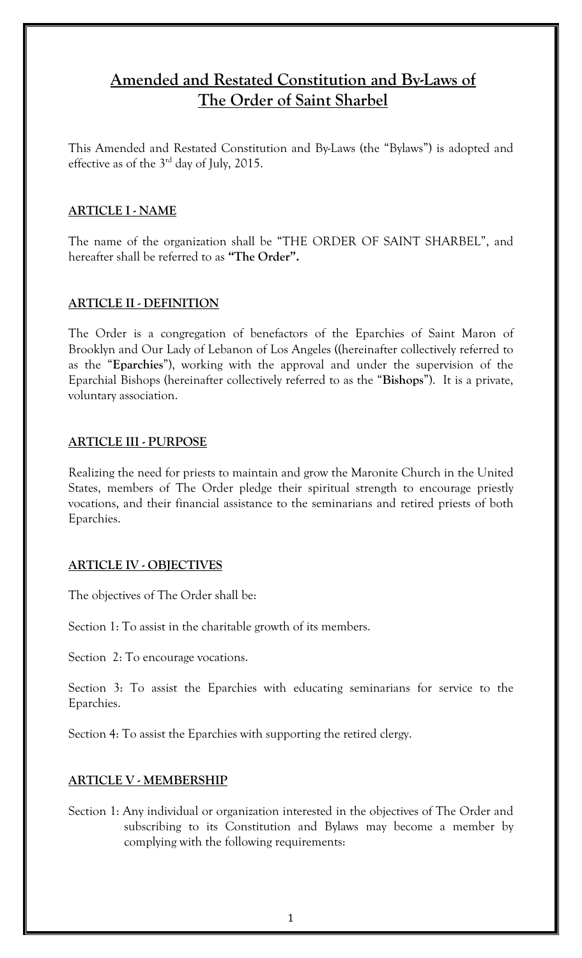# **Amended and Restated Constitution and By-Laws of The Order of Saint Sharbel**

This Amended and Restated Constitution and By-Laws (the "Bylaws") is adopted and effective as of the  $3<sup>rd</sup>$  day of July, 2015.

## **ARTICLE I - NAME**

The name of the organization shall be "THE ORDER OF SAINT SHARBEL", and hereafter shall be referred to as **"The Order".**

## **ARTICLE II - DEFINITION**

The Order is a congregation of benefactors of the Eparchies of Saint Maron of Brooklyn and Our Lady of Lebanon of Los Angeles ((hereinafter collectively referred to as the "**Eparchies**"), working with the approval and under the supervision of the Eparchial Bishops (hereinafter collectively referred to as the "**Bishops**"). It is a private, voluntary association.

#### **ARTICLE III - PURPOSE**

Realizing the need for priests to maintain and grow the Maronite Church in the United States, members of The Order pledge their spiritual strength to encourage priestly vocations, and their financial assistance to the seminarians and retired priests of both Eparchies.

## **ARTICLE IV - OBJECTIVES**

The objectives of The Order shall be:

Section 1: To assist in the charitable growth of its members.

Section 2: To encourage vocations.

Section 3: To assist the Eparchies with educating seminarians for service to the Eparchies.

Section 4: To assist the Eparchies with supporting the retired clergy.

# **ARTICLE V - MEMBERSHIP**

Section 1: Any individual or organization interested in the objectives of The Order and subscribing to its Constitution and Bylaws may become a member by complying with the following requirements: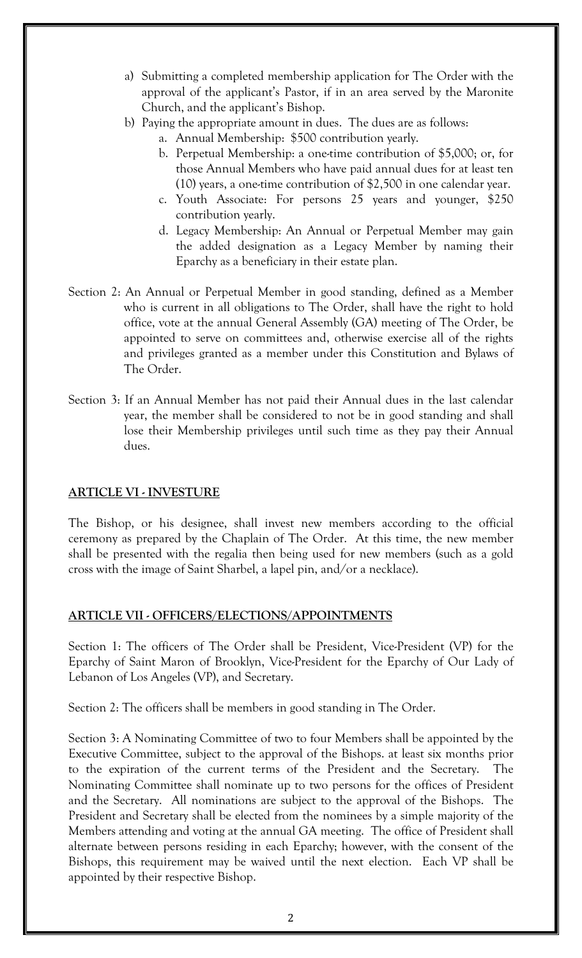- a) Submitting a completed membership application for The Order with the approval of the applicant's Pastor, if in an area served by the Maronite Church, and the applicant's Bishop.
- b) Paying the appropriate amount in dues. The dues are as follows:
	- a. Annual Membership: \$500 contribution yearly.
	- b. Perpetual Membership: a one-time contribution of \$5,000; or, for those Annual Members who have paid annual dues for at least ten (10) years, a one-time contribution of \$2,500 in one calendar year.
	- c. Youth Associate: For persons 25 years and younger, \$250 contribution yearly.
	- d. Legacy Membership: An Annual or Perpetual Member may gain the added designation as a Legacy Member by naming their Eparchy as a beneficiary in their estate plan.
- Section 2: An Annual or Perpetual Member in good standing, defined as a Member who is current in all obligations to The Order, shall have the right to hold office, vote at the annual General Assembly (GA) meeting of The Order, be appointed to serve on committees and, otherwise exercise all of the rights and privileges granted as a member under this Constitution and Bylaws of The Order.
- Section 3: If an Annual Member has not paid their Annual dues in the last calendar year, the member shall be considered to not be in good standing and shall lose their Membership privileges until such time as they pay their Annual dues.

# **ARTICLE VI - INVESTURE**

The Bishop, or his designee, shall invest new members according to the official ceremony as prepared by the Chaplain of The Order. At this time, the new member shall be presented with the regalia then being used for new members (such as a gold cross with the image of Saint Sharbel, a lapel pin, and/or a necklace).

## **ARTICLE VII - OFFICERS/ELECTIONS/APPOINTMENTS**

Section 1: The officers of The Order shall be President, Vice-President (VP) for the Eparchy of Saint Maron of Brooklyn, Vice-President for the Eparchy of Our Lady of Lebanon of Los Angeles (VP), and Secretary.

Section 2: The officers shall be members in good standing in The Order.

Section 3: A Nominating Committee of two to four Members shall be appointed by the Executive Committee, subject to the approval of the Bishops. at least six months prior to the expiration of the current terms of the President and the Secretary. The Nominating Committee shall nominate up to two persons for the offices of President and the Secretary. All nominations are subject to the approval of the Bishops. The President and Secretary shall be elected from the nominees by a simple majority of the Members attending and voting at the annual GA meeting. The office of President shall alternate between persons residing in each Eparchy; however, with the consent of the Bishops, this requirement may be waived until the next election. Each VP shall be appointed by their respective Bishop.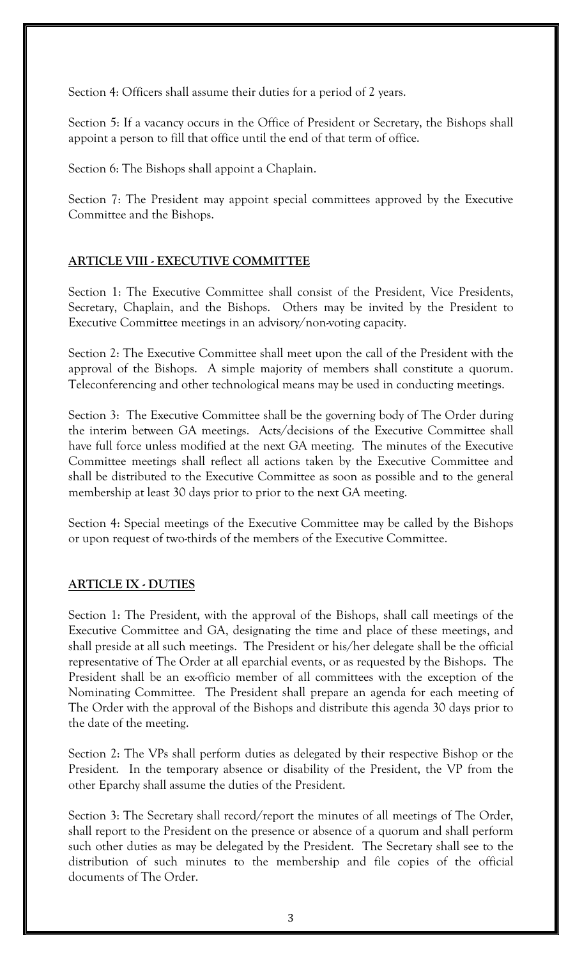Section 4: Officers shall assume their duties for a period of 2 years.

Section 5: If a vacancy occurs in the Office of President or Secretary, the Bishops shall appoint a person to fill that office until the end of that term of office.

Section 6: The Bishops shall appoint a Chaplain.

Section 7: The President may appoint special committees approved by the Executive Committee and the Bishops.

# **ARTICLE VIII - EXECUTIVE COMMITTEE**

Section 1: The Executive Committee shall consist of the President, Vice Presidents, Secretary, Chaplain, and the Bishops. Others may be invited by the President to Executive Committee meetings in an advisory/non-voting capacity.

Section 2: The Executive Committee shall meet upon the call of the President with the approval of the Bishops. A simple majority of members shall constitute a quorum. Teleconferencing and other technological means may be used in conducting meetings.

Section 3: The Executive Committee shall be the governing body of The Order during the interim between GA meetings. Acts/decisions of the Executive Committee shall have full force unless modified at the next GA meeting. The minutes of the Executive Committee meetings shall reflect all actions taken by the Executive Committee and shall be distributed to the Executive Committee as soon as possible and to the general membership at least 30 days prior to prior to the next GA meeting.

Section 4: Special meetings of the Executive Committee may be called by the Bishops or upon request of two-thirds of the members of the Executive Committee.

# **ARTICLE IX - DUTIES**

Section 1: The President, with the approval of the Bishops, shall call meetings of the Executive Committee and GA, designating the time and place of these meetings, and shall preside at all such meetings. The President or his/her delegate shall be the official representative of The Order at all eparchial events, or as requested by the Bishops. The President shall be an ex-officio member of all committees with the exception of the Nominating Committee. The President shall prepare an agenda for each meeting of The Order with the approval of the Bishops and distribute this agenda 30 days prior to the date of the meeting.

Section 2: The VPs shall perform duties as delegated by their respective Bishop or the President. In the temporary absence or disability of the President, the VP from the other Eparchy shall assume the duties of the President.

Section 3: The Secretary shall record/report the minutes of all meetings of The Order, shall report to the President on the presence or absence of a quorum and shall perform such other duties as may be delegated by the President. The Secretary shall see to the distribution of such minutes to the membership and file copies of the official documents of The Order.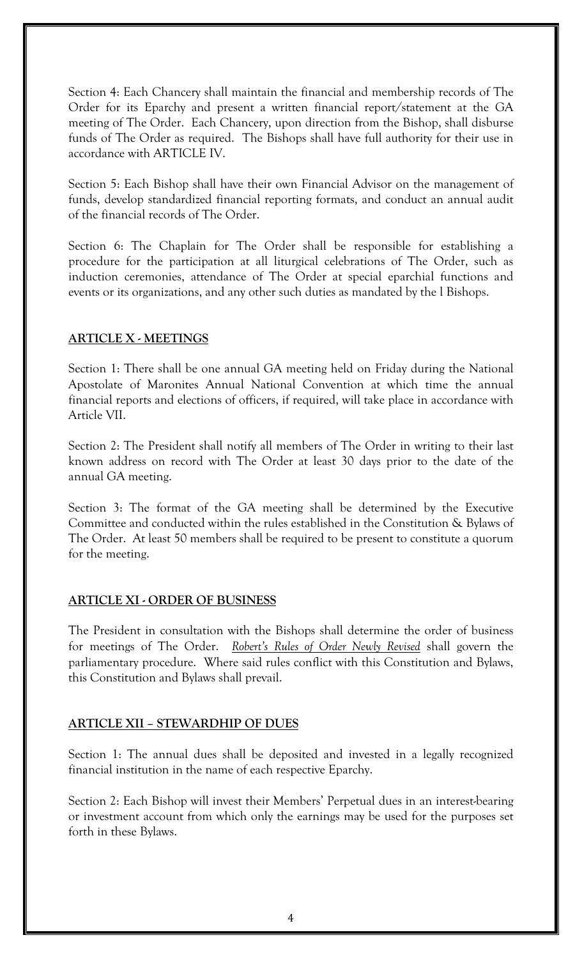Section 4: Each Chancery shall maintain the financial and membership records of The Order for its Eparchy and present a written financial report/statement at the GA meeting of The Order. Each Chancery, upon direction from the Bishop, shall disburse funds of The Order as required. The Bishops shall have full authority for their use in accordance with ARTICLE IV.

Section 5: Each Bishop shall have their own Financial Advisor on the management of funds, develop standardized financial reporting formats, and conduct an annual audit of the financial records of The Order.

Section 6: The Chaplain for The Order shall be responsible for establishing a procedure for the participation at all liturgical celebrations of The Order, such as induction ceremonies, attendance of The Order at special eparchial functions and events or its organizations, and any other such duties as mandated by the l Bishops.

## **ARTICLE X - MEETINGS**

Section 1: There shall be one annual GA meeting held on Friday during the National Apostolate of Maronites Annual National Convention at which time the annual financial reports and elections of officers, if required, will take place in accordance with Article VII.

Section 2: The President shall notify all members of The Order in writing to their last known address on record with The Order at least 30 days prior to the date of the annual GA meeting.

Section 3: The format of the GA meeting shall be determined by the Executive Committee and conducted within the rules established in the Constitution & Bylaws of The Order. At least 50 members shall be required to be present to constitute a quorum for the meeting.

## **ARTICLE XI - ORDER OF BUSINESS**

The President in consultation with the Bishops shall determine the order of business for meetings of The Order. *Robert's Rules of Order Newly Revised* shall govern the parliamentary procedure. Where said rules conflict with this Constitution and Bylaws, this Constitution and Bylaws shall prevail.

## **ARTICLE XII – STEWARDHIP OF DUES**

Section 1: The annual dues shall be deposited and invested in a legally recognized financial institution in the name of each respective Eparchy.

Section 2: Each Bishop will invest their Members' Perpetual dues in an interest-bearing or investment account from which only the earnings may be used for the purposes set forth in these Bylaws.